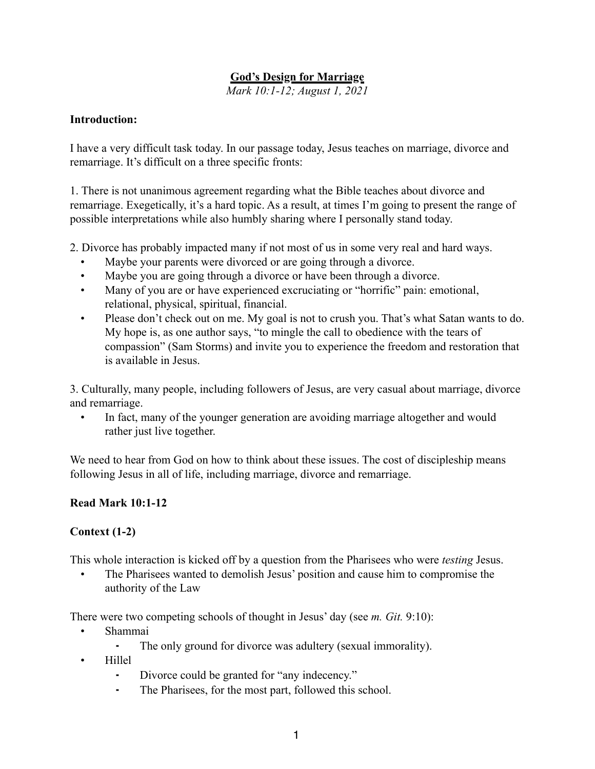## **God's Design for Marriage**

*Mark 10:1-12; August 1, 2021*

#### **Introduction:**

I have a very difficult task today. In our passage today, Jesus teaches on marriage, divorce and remarriage. It's difficult on a three specific fronts:

1. There is not unanimous agreement regarding what the Bible teaches about divorce and remarriage. Exegetically, it's a hard topic. As a result, at times I'm going to present the range of possible interpretations while also humbly sharing where I personally stand today.

2. Divorce has probably impacted many if not most of us in some very real and hard ways.

- Maybe your parents were divorced or are going through a divorce.
- Maybe you are going through a divorce or have been through a divorce.
- Many of you are or have experienced excruciating or "horrific" pain: emotional, relational, physical, spiritual, financial.
- Please don't check out on me. My goal is not to crush you. That's what Satan wants to do. My hope is, as one author says, "to mingle the call to obedience with the tears of compassion" (Sam Storms) and invite you to experience the freedom and restoration that is available in Jesus.

3. Culturally, many people, including followers of Jesus, are very casual about marriage, divorce and remarriage.

• In fact, many of the younger generation are avoiding marriage altogether and would rather just live together.

We need to hear from God on how to think about these issues. The cost of discipleship means following Jesus in all of life, including marriage, divorce and remarriage.

#### **Read Mark 10:1-12**

#### **Context (1-2)**

This whole interaction is kicked off by a question from the Pharisees who were *testing* Jesus.

• The Pharisees wanted to demolish Jesus' position and cause him to compromise the authority of the Law

There were two competing schools of thought in Jesus' day (see *m. Git.* 9:10):

- Shammai
	- The only ground for divorce was adultery (sexual immorality).
- Hillel
	- Divorce could be granted for "any indecency."
	- ⁃ The Pharisees, for the most part, followed this school.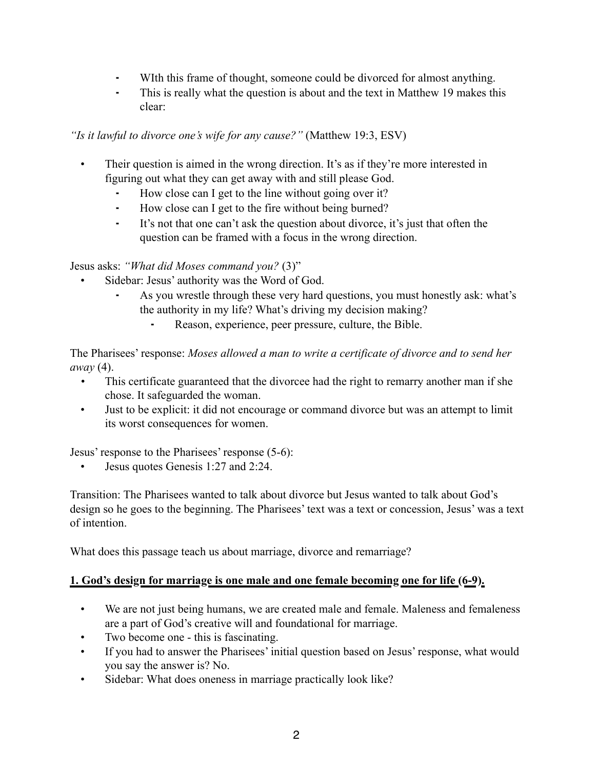- WIth this frame of thought, someone could be divorced for almost anything.
- This is really what the question is about and the text in Matthew 19 makes this clear:

*"Is it lawful to divorce one's wife for any cause?"* (Matthew 19:3, ESV)

- Their question is aimed in the wrong direction. It's as if they're more interested in figuring out what they can get away with and still please God.
	- How close can I get to the line without going over it?
	- ⁃ How close can I get to the fire without being burned?
	- ⁃ It's not that one can't ask the question about divorce, it's just that often the question can be framed with a focus in the wrong direction.

Jesus asks: *"What did Moses command you?* (3)"

- Sidebar: Jesus' authority was the Word of God.
	- As you wrestle through these very hard questions, you must honestly ask: what's the authority in my life? What's driving my decision making?
		- Reason, experience, peer pressure, culture, the Bible.

The Pharisees' response: *Moses allowed a man to write a certificate of divorce and to send her away* (4).

- *•* This certificate guaranteed that the divorcee had the right to remarry another man if she chose. It safeguarded the woman.
- Just to be explicit: it did not encourage or command divorce but was an attempt to limit its worst consequences for women.

Jesus' response to the Pharisees' response (5-6):

• Jesus quotes Genesis 1:27 and 2:24.

Transition: The Pharisees wanted to talk about divorce but Jesus wanted to talk about God's design so he goes to the beginning. The Pharisees' text was a text or concession, Jesus' was a text of intention.

What does this passage teach us about marriage, divorce and remarriage?

# **1. God's design for marriage is one male and one female becoming one for life (6-9).**

- We are not just being humans, we are created male and female. Maleness and femaleness are a part of God's creative will and foundational for marriage.
- Two become one this is fascinating.
- If you had to answer the Pharisees' initial question based on Jesus' response, what would you say the answer is? No.
- Sidebar: What does oneness in marriage practically look like?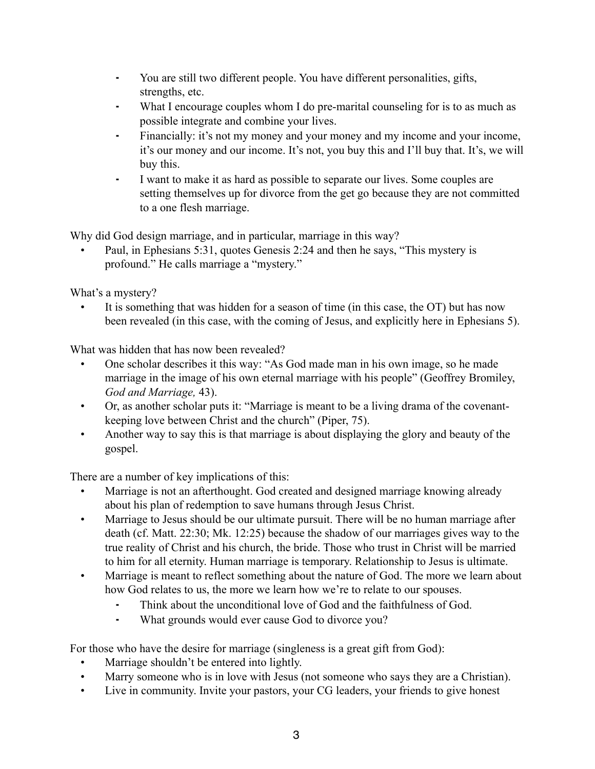- ⁃ You are still two different people. You have different personalities, gifts, strengths, etc.
- What I encourage couples whom I do pre-marital counseling for is to as much as possible integrate and combine your lives.
- ⁃ Financially: it's not my money and your money and my income and your income, it's our money and our income. It's not, you buy this and I'll buy that. It's, we will buy this.
- ⁃ I want to make it as hard as possible to separate our lives. Some couples are setting themselves up for divorce from the get go because they are not committed to a one flesh marriage.

Why did God design marriage, and in particular, marriage in this way?

• Paul, in Ephesians 5:31, quotes Genesis 2:24 and then he says, "This mystery is profound." He calls marriage a "mystery."

What's a mystery?

It is something that was hidden for a season of time (in this case, the OT) but has now been revealed (in this case, with the coming of Jesus, and explicitly here in Ephesians 5).

What was hidden that has now been revealed?

- One scholar describes it this way: "As God made man in his own image, so he made marriage in the image of his own eternal marriage with his people" (Geoffrey Bromiley, *God and Marriage,* 43).
- Or, as another scholar puts it: "Marriage is meant to be a living drama of the covenantkeeping love between Christ and the church" (Piper, 75).
- Another way to say this is that marriage is about displaying the glory and beauty of the gospel.

There are a number of key implications of this:

- Marriage is not an afterthought. God created and designed marriage knowing already about his plan of redemption to save humans through Jesus Christ.
- Marriage to Jesus should be our ultimate pursuit. There will be no human marriage after death (cf. Matt. 22:30; Mk. 12:25) because the shadow of our marriages gives way to the true reality of Christ and his church, the bride. Those who trust in Christ will be married to him for all eternity. Human marriage is temporary. Relationship to Jesus is ultimate.
- Marriage is meant to reflect something about the nature of God. The more we learn about how God relates to us, the more we learn how we're to relate to our spouses.
	- Think about the unconditional love of God and the faithfulness of God.
	- ⁃ What grounds would ever cause God to divorce you?

For those who have the desire for marriage (singleness is a great gift from God):

- Marriage shouldn't be entered into lightly.
- Marry someone who is in love with Jesus (not someone who says they are a Christian).
- Live in community. Invite your pastors, your CG leaders, your friends to give honest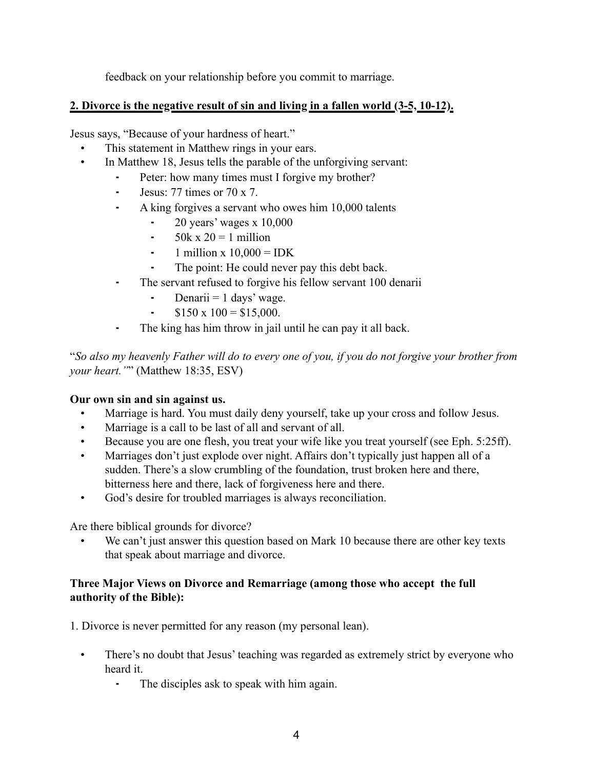feedback on your relationship before you commit to marriage.

### **2. Divorce is the negative result of sin and living in a fallen world (3-5, 10-12).**

Jesus says, "Because of your hardness of heart."

- This statement in Matthew rings in your ears.
- In Matthew 18, Jesus tells the parable of the unforgiving servant:
	- Peter: how many times must I forgive my brother?
	- ⁃ Jesus: 77 times or 70 x 7.
	- ⁃ A king forgives a servant who owes him 10,000 talents
		- $\sim$  20 years' wages x 10,000
		- $\frac{1}{2}$  50k x 20 = 1 million
		- $\text{-}$  1 million x 10,000 = IDK
		- The point: He could never pay this debt back.
	- ⁃ The servant refused to forgive his fellow servant 100 denarii
		- Denarii  $= 1$  days' wage.
		- $\textdegree$  \$150 x 100 = \$15,000.
	- The king has him throw in jail until he can pay it all back.

"*So also my heavenly Father will do to every one of you, if you do not forgive your brother from your heart."*" (Matthew 18:35, ESV)

#### **Our own sin and sin against us.**

- Marriage is hard. You must daily deny yourself, take up your cross and follow Jesus.
- Marriage is a call to be last of all and servant of all.
- Because you are one flesh, you treat your wife like you treat yourself (see Eph. 5:25ff).
- Marriages don't just explode over night. Affairs don't typically just happen all of a sudden. There's a slow crumbling of the foundation, trust broken here and there, bitterness here and there, lack of forgiveness here and there.
- God's desire for troubled marriages is always reconciliation.

Are there biblical grounds for divorce?

We can't just answer this question based on Mark 10 because there are other key texts that speak about marriage and divorce.

### **Three Major Views on Divorce and Remarriage (among those who accept the full authority of the Bible):**

1. Divorce is never permitted for any reason (my personal lean).

- There's no doubt that Jesus' teaching was regarded as extremely strict by everyone who heard it.
	- ⁃ The disciples ask to speak with him again.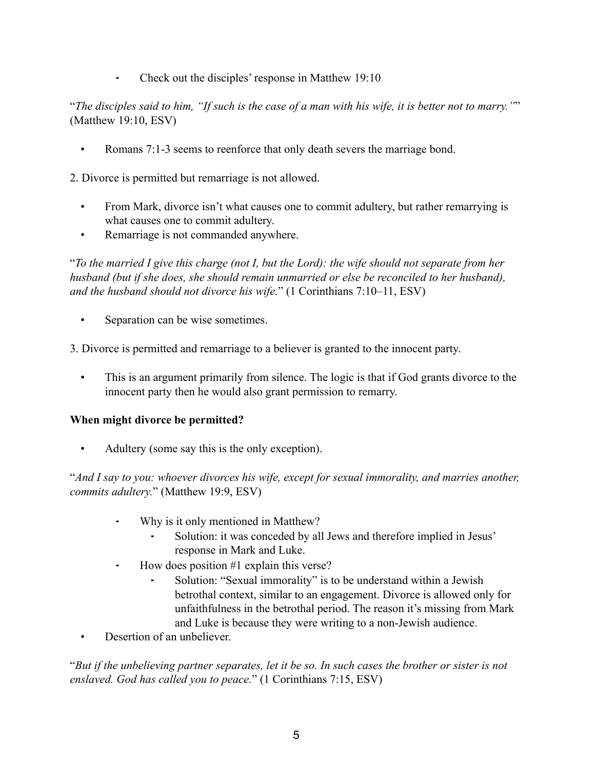⁃ Check out the disciples' response in Matthew 19:10

"*The disciples said to him, "If such is the case of a man with his wife, it is better not to marry."*" (Matthew 19:10, ESV)

• Romans 7:1-3 seems to reenforce that only death severs the marriage bond.

2. Divorce is permitted but remarriage is not allowed.

- From Mark, divorce isn't what causes one to commit adultery, but rather remarrying is what causes one to commit adultery.
- Remarriage is not commanded anywhere.

"*To the married I give this charge (not I, but the Lord): the wife should not separate from her husband (but if she does, she should remain unmarried or else be reconciled to her husband), and the husband should not divorce his wife.*" (1 Corinthians 7:10–11, ESV)

- Separation can be wise sometimes.
- 3. Divorce is permitted and remarriage to a believer is granted to the innocent party.
	- This is an argument primarily from silence. The logic is that if God grants divorce to the innocent party then he would also grant permission to remarry.

#### **When might divorce be permitted?**

• Adultery (some say this is the only exception).

"*And I say to you: whoever divorces his wife, except for sexual immorality, and marries another, commits adultery.*" (Matthew 19:9, ESV)

- Why is it only mentioned in Matthew?
	- Solution: it was conceded by all Jews and therefore implied in Jesus' response in Mark and Luke.
- ⁃ How does position #1 explain this verse?
	- Solution: "Sexual immorality" is to be understand within a Jewish betrothal context, similar to an engagement. Divorce is allowed only for unfaithfulness in the betrothal period. The reason it's missing from Mark and Luke is because they were writing to a non-Jewish audience.
- Desertion of an unbeliever.

"*But if the unbelieving partner separates, let it be so. In such cases the brother or sister is not enslaved. God has called you to peace.*" (1 Corinthians 7:15, ESV)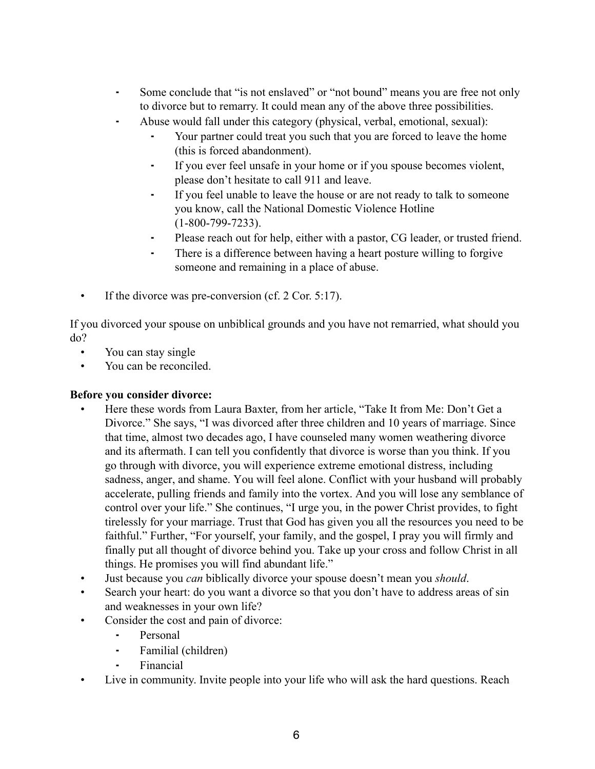- ⁃ Some conclude that "is not enslaved" or "not bound" means you are free not only to divorce but to remarry. It could mean any of the above three possibilities.
- ⁃ Abuse would fall under this category (physical, verbal, emotional, sexual):
	- Your partner could treat you such that you are forced to leave the home (this is forced abandonment).
	- ⁃ If you ever feel unsafe in your home or if you spouse becomes violent, please don't hesitate to call 911 and leave.
	- ⁃ If you feel unable to leave the house or are not ready to talk to someone you know, call the National Domestic Violence Hotline (1-800-799-7233).
	- ⁃ Please reach out for help, either with a pastor, CG leader, or trusted friend.
	- ⁃ There is a difference between having a heart posture willing to forgive someone and remaining in a place of abuse.
- If the divorce was pre-conversion (cf. 2 Cor. 5:17).

If you divorced your spouse on unbiblical grounds and you have not remarried, what should you do?

- You can stay single
- You can be reconciled.

#### **Before you consider divorce:**

- Here these words from Laura Baxter, from her article, "Take It from Me: Don't Get a Divorce." She says, "I was divorced after three children and 10 years of marriage. Since that time, almost two decades ago, I have counseled many women weathering divorce and its aftermath. I can tell you confidently that divorce is worse than you think. If you go through with divorce, you will experience extreme emotional distress, including sadness, anger, and shame. You will feel alone. Conflict with your husband will probably accelerate, pulling friends and family into the vortex. And you will lose any semblance of control over your life." She continues, "I urge you, in the power Christ provides, to fight tirelessly for your marriage. Trust that God has given you all the resources you need to be faithful." Further, "For yourself, your family, and the gospel, I pray you will firmly and finally put all thought of divorce behind you. Take up your cross and follow Christ in all things. He promises you will find abundant life."
- Just because you *can* biblically divorce your spouse doesn't mean you *should*.
- Search your heart: do you want a divorce so that you don't have to address areas of sin and weaknesses in your own life?
- Consider the cost and pain of divorce:
	- ⁃ Personal
	- ⁃ Familial (children)
	- **Financial**
- Live in community. Invite people into your life who will ask the hard questions. Reach